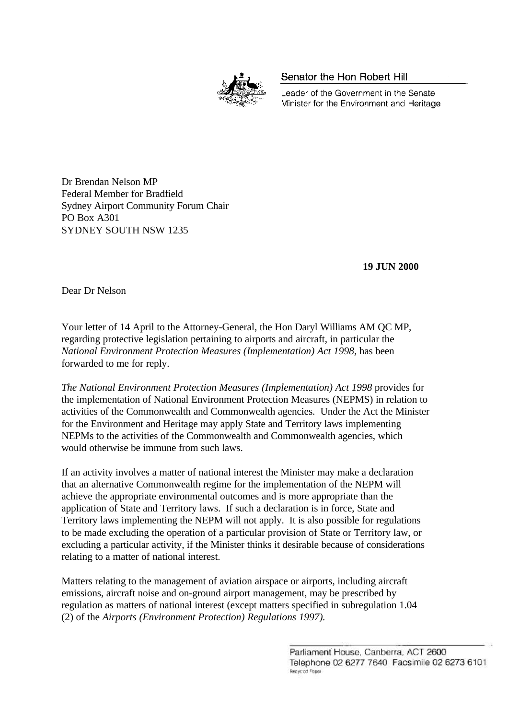

Senator the Hon Robert Hill

Leader of the Government in the Senate Minister for the Environment and Heritage

Dr Brendan Nelson MP Federal Member for Bradfield Sydney Airport Community Forum Chair PO Box A301 SYDNEY SOUTH NSW 1235

 **19 JUN 2000**

Dear Dr Nelson

Your letter of 14 April to the Attorney-General, the Hon Daryl Williams AM QC MP, regarding protective legislation pertaining to airports and aircraft, in particular the *National Environment Protection Measures (Implementation) Act 1998,* has been forwarded to me for reply.

*The National Environment Protection Measures (Implementation) Act 1998* provides for the implementation of National Environment Protection Measures (NEPMS) in relation to activities of the Commonwealth and Commonwealth agencies. Under the Act the Minister for the Environment and Heritage may apply State and Territory laws implementing NEPMs to the activities of the Commonwealth and Commonwealth agencies, which would otherwise be immune from such laws.

If an activity involves a matter of national interest the Minister may make a declaration that an alternative Commonwealth regime for the implementation of the NEPM will achieve the appropriate environmental outcomes and is more appropriate than the application of State and Territory laws. If such a declaration is in force, State and Territory laws implementing the NEPM will not apply. It is also possible for regulations to be made excluding the operation of a particular provision of State or Territory law, or excluding a particular activity, if the Minister thinks it desirable because of considerations relating to a matter of national interest.

Matters relating to the management of aviation airspace or airports, including aircraft emissions, aircraft noise and on-ground airport management, may be prescribed by regulation as matters of national interest (except matters specified in subregulation 1.04 (2) of the *Airports (Environment Protection) Regulations 1997).*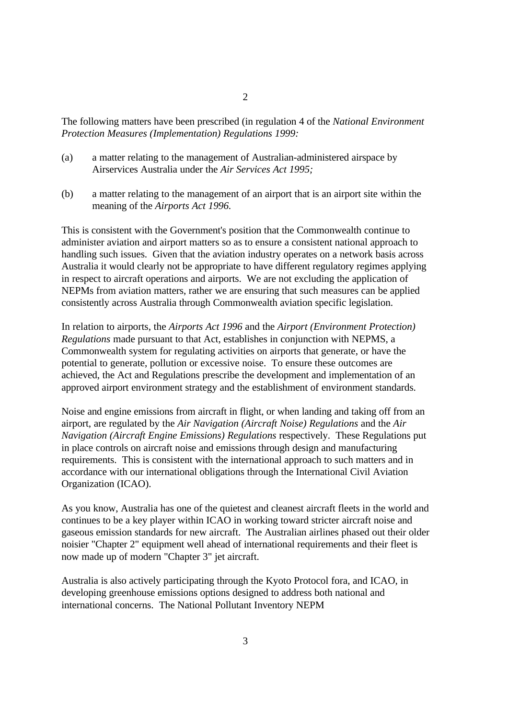The following matters have been prescribed (in regulation 4 of the *National Environment Protection Measures (Implementation) Regulations 1999:*

- (a) a matter relating to the management of Australian-administered airspace by Airservices Australia under the *Air Services Act 1995;*
- (b) a matter relating to the management of an airport that is an airport site within the meaning of the *Airports Act 1996.*

This is consistent with the Government's position that the Commonwealth continue to administer aviation and airport matters so as to ensure a consistent national approach to handling such issues. Given that the aviation industry operates on a network basis across Australia it would clearly not be appropriate to have different regulatory regimes applying in respect to aircraft operations and airports. We are not excluding the application of NEPMs from aviation matters, rather we are ensuring that such measures can be applied consistently across Australia through Commonwealth aviation specific legislation.

In relation to airports, the *Airports Act 1996* and the *Airport (Environment Protection) Regulations* made pursuant to that Act, establishes in conjunction with NEPMS, a Commonwealth system for regulating activities on airports that generate, or have the potential to generate, pollution or excessive noise. To ensure these outcomes are achieved, the Act and Regulations prescribe the development and implementation of an approved airport environment strategy and the establishment of environment standards.

Noise and engine emissions from aircraft in flight, or when landing and taking off from an airport, are regulated by the *Air Navigation (Aircraft Noise) Regulations* and the *Air Navigation (Aircraft Engine Emissions) Regulations* respectively. These Regulations put in place controls on aircraft noise and emissions through design and manufacturing requirements. This is consistent with the international approach to such matters and in accordance with our international obligations through the International Civil Aviation Organization (ICAO).

As you know, Australia has one of the quietest and cleanest aircraft fleets in the world and continues to be a key player within ICAO in working toward stricter aircraft noise and gaseous emission standards for new aircraft. The Australian airlines phased out their older noisier "Chapter 2" equipment well ahead of international requirements and their fleet is now made up of modern "Chapter 3" jet aircraft.

Australia is also actively participating through the Kyoto Protocol fora, and ICAO, in developing greenhouse emissions options designed to address both national and international concerns. The National Pollutant Inventory NEPM